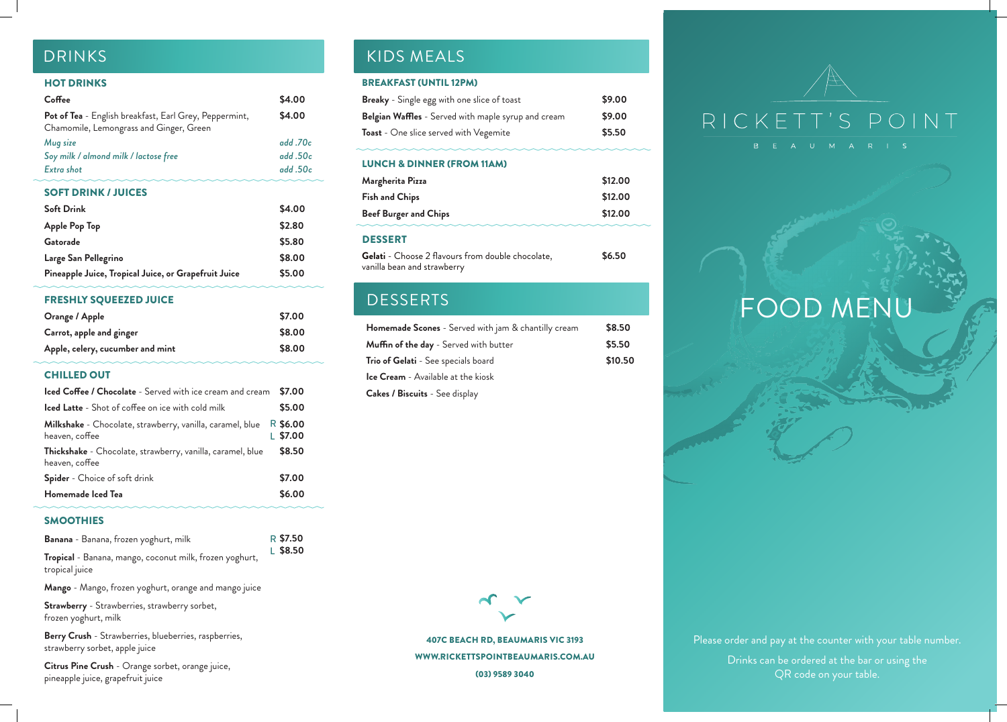Please order and pay at the counter with your table number. Drinks can be ordered at the bar or using the QR code on your table.



407C BEACH RD, BEAUMARIS VIC 3193 WWW.RICKETTSPOINTBEAUMARIS.COM.AU (03) 9589 3040

# FOOD MENU

## HOT DRINKS

| Coffee                                                                                            | \$4.00  |
|---------------------------------------------------------------------------------------------------|---------|
| Pot of Tea - English breakfast, Earl Grey, Peppermint,<br>Chamomile, Lemongrass and Ginger, Green | \$4.00  |
| Mug size                                                                                          | add.70c |
| Soy milk / almond milk / lactose free                                                             | add.50c |
| <b>Extra shot</b>                                                                                 | add.50c |
| <b>SOFT DRINK / JUICES</b>                                                                        |         |
| <b>Soft Drink</b>                                                                                 | \$4.00  |
| <b>Apple Pop Top</b>                                                                              | \$2.80  |
| Gatorade                                                                                          | \$5.80  |
| Large San Pellegrino                                                                              | \$8.00  |
| Pineapple Juice, Tropical Juice, or Grapefruit Juice                                              | \$5.00  |
|                                                                                                   |         |

## FRESHLY SQUEEZED JUICE

| Orange / Apple                   | \$7.00 |
|----------------------------------|--------|
| Carrot, apple and ginger         | \$8.00 |
| Apple, celery, cucumber and mint | \$8.00 |

## CHILLED OUT

### SMOOTHIES

**Mango** - Mango, frozen yoghurt, orange and mango juice

**Strawberry** - Strawberries, strawberry sorbet, frozen yoghurt, milk

**Berry Crush** - Strawberries, blueberries, raspberries, strawberry sorbet, apple juice

| Iced Coffee / Chocolate - Served with ice cream and cream                    | \$7.00                 |
|------------------------------------------------------------------------------|------------------------|
| <b>Iced Latte</b> - Shot of coffee on ice with cold milk                     | \$5.00                 |
| Milkshake - Chocolate, strawberry, vanilla, caramel, blue<br>heaven, coffee  | R \$6.00<br>$L$ \$7.00 |
| Thickshake - Chocolate, strawberry, vanilla, caramel, blue<br>heaven, coffee | \$8.50                 |
| <b>Spider</b> - Choice of soft drink                                         | \$7.00                 |
| Homemade Iced Tea                                                            | \$6.00                 |

**Citrus Pine Crush** - Orange sorbet, orange juice, pineapple juice, grapefruit juice

## DRINKS KIDS MEALS

| Banana - Banana, frozen yoghurt, milk                   | R \$7.50 |
|---------------------------------------------------------|----------|
| Tropical - Banana, mango, coconut milk, frozen yoghurt, | L \$8.50 |
| tropical juice                                          |          |

| <b>Homemade Scones</b> - Served with jam & chantilly cream | \$8.50  |
|------------------------------------------------------------|---------|
| Muffin of the day - Served with butter                     | \$5.50  |
| Trio of Gelati - See specials board                        | \$10.50 |
| <b>Ice Cream</b> - Available at the kiosk                  |         |
| <b>Cakes / Biscuits</b> - See display                      |         |



## BREAKFAST (UNTIL 12PM)

| <b>Breaky</b> - Single egg with one slice of toast  | \$9.00 |
|-----------------------------------------------------|--------|
| Belgian Waffles - Served with maple syrup and cream | \$9.00 |
| <b>Toast</b> - One slice served with Vegemite       | \$5.50 |

### LUNCH & DINNER (FROM 11AM)

| Margherita Pizza             | \$12.00 |
|------------------------------|---------|
| <b>Fish and Chips</b>        | \$12.00 |
| <b>Beef Burger and Chips</b> | \$12.00 |
|                              |         |
| <b>DESSERT</b>               |         |

**Gelati** - Choose 2 flavours from double chocolate, vanilla bean and strawberry **\$6.50**

## **DESSERTS**